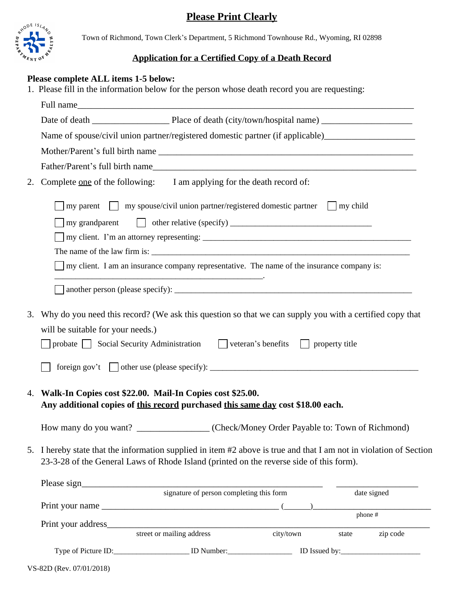## **Please Print Clearly**



Town of Richmond, Town Clerk's Department, 5 Richmond Townhouse Rd., Wyoming, RI 02898

## **Application for a Certified Copy of a Death Record**

## **Please complete ALL items 1-5 below:**

1. Please fill in the information below for the person whose death record you are requesting:

| Name of spouse/civil union partner/registered domestic partner (if applicable)_____________________ |                                                                                                                                                                                                               |  |  |  |  |  |
|-----------------------------------------------------------------------------------------------------|---------------------------------------------------------------------------------------------------------------------------------------------------------------------------------------------------------------|--|--|--|--|--|
|                                                                                                     |                                                                                                                                                                                                               |  |  |  |  |  |
| 2.                                                                                                  | Complete <u>one</u> of the following: I am applying for the death record of:                                                                                                                                  |  |  |  |  |  |
|                                                                                                     | my parent $\Box$ my spouse/civil union partner/registered domestic partner $\Box$ my child                                                                                                                    |  |  |  |  |  |
|                                                                                                     | my grandparent                                                                                                                                                                                                |  |  |  |  |  |
|                                                                                                     |                                                                                                                                                                                                               |  |  |  |  |  |
|                                                                                                     |                                                                                                                                                                                                               |  |  |  |  |  |
|                                                                                                     | my client. I am an insurance company representative. The name of the insurance company is:                                                                                                                    |  |  |  |  |  |
|                                                                                                     |                                                                                                                                                                                                               |  |  |  |  |  |
| 3.                                                                                                  | Why do you need this record? (We ask this question so that we can supply you with a certified copy that                                                                                                       |  |  |  |  |  |
|                                                                                                     | will be suitable for your needs.)                                                                                                                                                                             |  |  |  |  |  |
|                                                                                                     | probate $\Box$ Social Security Administration $\Box$ veteran's benefits $\Box$ property title                                                                                                                 |  |  |  |  |  |
|                                                                                                     |                                                                                                                                                                                                               |  |  |  |  |  |
| 4.                                                                                                  | Walk-In Copies cost \$22.00. Mail-In Copies cost \$25.00.<br>Any additional copies of this record purchased this same day cost \$18.00 each.                                                                  |  |  |  |  |  |
|                                                                                                     | How many do you want? _________________(Check/Money Order Payable to: Town of Richmond)                                                                                                                       |  |  |  |  |  |
|                                                                                                     | 5. I hereby state that the information supplied in item #2 above is true and that I am not in violation of Section<br>23-3-28 of the General Laws of Rhode Island (printed on the reverse side of this form). |  |  |  |  |  |
|                                                                                                     |                                                                                                                                                                                                               |  |  |  |  |  |
|                                                                                                     | signature of person completing this form<br>date signed                                                                                                                                                       |  |  |  |  |  |
|                                                                                                     | Print your name $\frac{1}{2}$ and $\frac{1}{2}$ and $\frac{1}{2}$ ( $\frac{1}{2}$ )<br>phone #                                                                                                                |  |  |  |  |  |
|                                                                                                     |                                                                                                                                                                                                               |  |  |  |  |  |
|                                                                                                     | zip code<br>state                                                                                                                                                                                             |  |  |  |  |  |
|                                                                                                     |                                                                                                                                                                                                               |  |  |  |  |  |